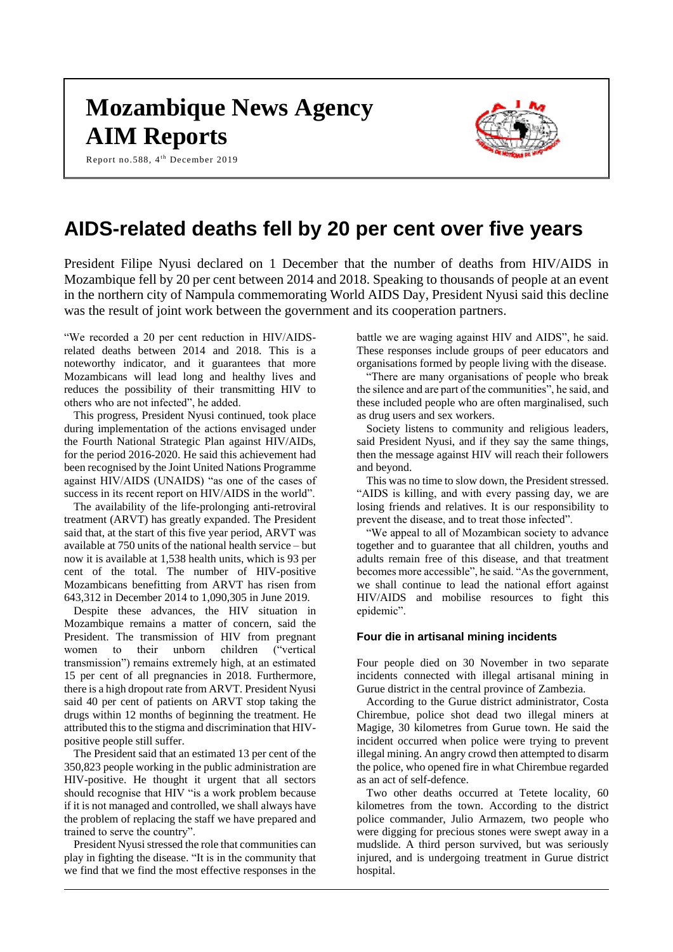# **Mozambique News Agency AIM Reports**

Report no.588, 4<sup>th</sup> December 2019



# **AIDS-related deaths fell by 20 per cent over five years**

President Filipe Nyusi declared on 1 December that the number of deaths from HIV/AIDS in Mozambique fell by 20 per cent between 2014 and 2018. Speaking to thousands of people at an event in the northern city of Nampula commemorating World AIDS Day, President Nyusi said this decline was the result of joint work between the government and its cooperation partners.

"We recorded a 20 per cent reduction in HIV/AIDSrelated deaths between 2014 and 2018. This is a noteworthy indicator, and it guarantees that more Mozambicans will lead long and healthy lives and reduces the possibility of their transmitting HIV to others who are not infected", he added.

This progress, President Nyusi continued, took place during implementation of the actions envisaged under the Fourth National Strategic Plan against HIV/AIDs, for the period 2016-2020. He said this achievement had been recognised by the Joint United Nations Programme against HIV/AIDS (UNAIDS) "as one of the cases of success in its recent report on HIV/AIDS in the world".

The availability of the life-prolonging anti-retroviral treatment (ARVT) has greatly expanded. The President said that, at the start of this five year period, ARVT was available at 750 units of the national health service – but now it is available at 1,538 health units, which is 93 per cent of the total. The number of HIV-positive Mozambicans benefitting from ARVT has risen from 643,312 in December 2014 to 1,090,305 in June 2019.

Despite these advances, the HIV situation in Mozambique remains a matter of concern, said the President. The transmission of HIV from pregnant women to their unborn children ("vertical transmission") remains extremely high, at an estimated 15 per cent of all pregnancies in 2018. Furthermore, there is a high dropout rate from ARVT. President Nyusi said 40 per cent of patients on ARVT stop taking the drugs within 12 months of beginning the treatment. He attributed this to the stigma and discrimination that HIVpositive people still suffer.

The President said that an estimated 13 per cent of the 350,823 people working in the public administration are HIV-positive. He thought it urgent that all sectors should recognise that HIV "is a work problem because if it is not managed and controlled, we shall always have the problem of replacing the staff we have prepared and trained to serve the country".

President Nyusi stressed the role that communities can play in fighting the disease. "It is in the community that we find that we find the most effective responses in the

battle we are waging against HIV and AIDS", he said. These responses include groups of peer educators and organisations formed by people living with the disease.

"There are many organisations of people who break the silence and are part of the communities", he said, and these included people who are often marginalised, such as drug users and sex workers.

Society listens to community and religious leaders, said President Nyusi, and if they say the same things, then the message against HIV will reach their followers and beyond.

This was no time to slow down, the President stressed. "AIDS is killing, and with every passing day, we are losing friends and relatives. It is our responsibility to prevent the disease, and to treat those infected".

"We appeal to all of Mozambican society to advance together and to guarantee that all children, youths and adults remain free of this disease, and that treatment becomes more accessible", he said. "As the government, we shall continue to lead the national effort against HIV/AIDS and mobilise resources to fight this epidemic".

## **Four die in artisanal mining incidents**

Four people died on 30 November in two separate incidents connected with illegal artisanal mining in Gurue district in the central province of Zambezia.

According to the Gurue district administrator, Costa Chirembue, police shot dead two illegal miners at Magige, 30 kilometres from Gurue town. He said the incident occurred when police were trying to prevent illegal mining. An angry crowd then attempted to disarm the police, who opened fire in what Chirembue regarded as an act of self-defence.

Two other deaths occurred at Tetete locality, 60 kilometres from the town. According to the district police commander, Julio Armazem, two people who were digging for precious stones were swept away in a mudslide. A third person survived, but was seriously injured, and is undergoing treatment in Gurue district hospital.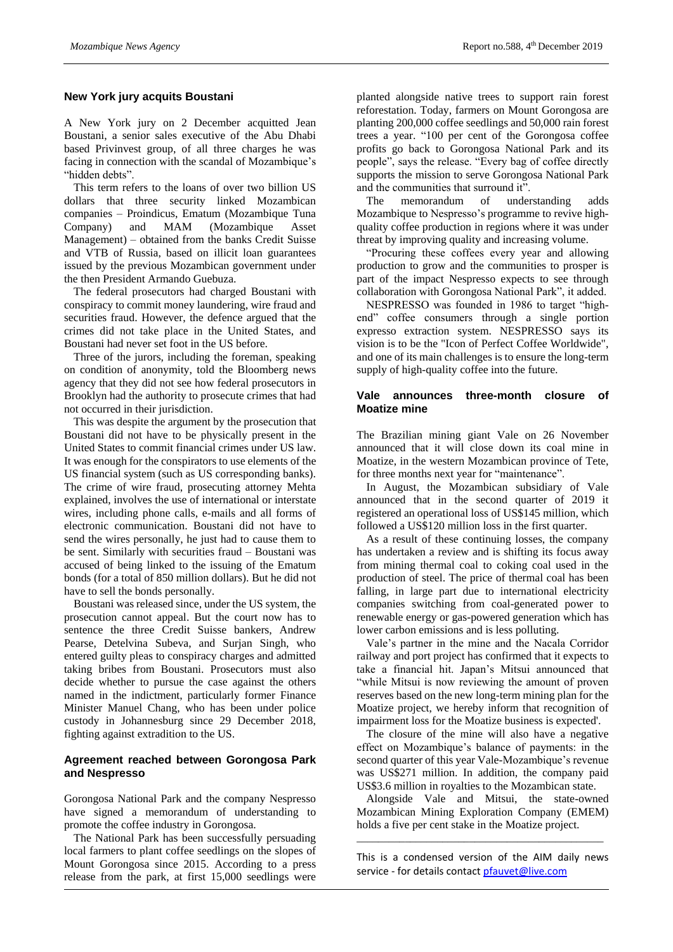# **New York jury acquits Boustani**

A New York jury on 2 December acquitted Jean Boustani, a senior sales executive of the Abu Dhabi based Privinvest group, of all three charges he was facing in connection with the scandal of Mozambique's "hidden debts".

This term refers to the loans of over two billion US dollars that three security linked Mozambican companies – Proindicus, Ematum (Mozambique Tuna Company) and MAM (Mozambique Asset Management) – obtained from the banks Credit Suisse and VTB of Russia, based on illicit loan guarantees issued by the previous Mozambican government under the then President Armando Guebuza.

The federal prosecutors had charged Boustani with conspiracy to commit money laundering, wire fraud and securities fraud. However, the defence argued that the crimes did not take place in the United States, and Boustani had never set foot in the US before.

Three of the jurors, including the foreman, speaking on condition of anonymity, told the Bloomberg news agency that they did not see how federal prosecutors in Brooklyn had the authority to prosecute crimes that had not occurred in their jurisdiction.

This was despite the argument by the prosecution that Boustani did not have to be physically present in the United States to commit financial crimes under US law. It was enough for the conspirators to use elements of the US financial system (such as US corresponding banks). The crime of wire fraud, prosecuting attorney Mehta explained, involves the use of international or interstate wires, including phone calls, e-mails and all forms of electronic communication. Boustani did not have to send the wires personally, he just had to cause them to be sent. Similarly with securities fraud – Boustani was accused of being linked to the issuing of the Ematum bonds (for a total of 850 million dollars). But he did not have to sell the bonds personally.

Boustani was released since, under the US system, the prosecution cannot appeal. But the court now has to sentence the three Credit Suisse bankers, Andrew Pearse, Detelvina Subeva, and Surjan Singh, who entered guilty pleas to conspiracy charges and admitted taking bribes from Boustani. Prosecutors must also decide whether to pursue the case against the others named in the indictment, particularly former Finance Minister Manuel Chang, who has been under police custody in Johannesburg since 29 December 2018, fighting against extradition to the US.

## **Agreement reached between Gorongosa Park and Nespresso**

Gorongosa National Park and the company Nespresso have signed a memorandum of understanding to promote the coffee industry in Gorongosa.

The National Park has been successfully persuading local farmers to plant coffee seedlings on the slopes of Mount Gorongosa since 2015. According to a press release from the park, at first 15,000 seedlings were

planted alongside native trees to support rain forest reforestation. Today, farmers on Mount Gorongosa are planting 200,000 coffee seedlings and 50,000 rain forest trees a year. "100 per cent of the Gorongosa coffee profits go back to Gorongosa National Park and its people", says the release. "Every bag of coffee directly supports the mission to serve Gorongosa National Park and the communities that surround it".

The memorandum of understanding adds Mozambique to Nespresso's programme to revive highquality coffee production in regions where it was under threat by improving quality and increasing volume.

"Procuring these coffees every year and allowing production to grow and the communities to prosper is part of the impact Nespresso expects to see through collaboration with Gorongosa National Park", it added.

NESPRESSO was founded in 1986 to target "highend" coffee consumers through a single portion expresso extraction system. NESPRESSO says its vision is to be the "Icon of Perfect Coffee Worldwide", and one of its main challenges is to ensure the long-term supply of high-quality coffee into the future.

# **Vale announces three-month closure of Moatize mine**

The Brazilian mining giant Vale on 26 November announced that it will close down its coal mine in Moatize, in the western Mozambican province of Tete, for three months next year for "maintenance".

In August, the Mozambican subsidiary of Vale announced that in the second quarter of 2019 it registered an operational loss of US\$145 million, which followed a US\$120 million loss in the first quarter.

As a result of these continuing losses, the company has undertaken a review and is shifting its focus away from mining thermal coal to coking coal used in the production of steel. The price of thermal coal has been falling, in large part due to international electricity companies switching from coal-generated power to renewable energy or gas-powered generation which has lower carbon emissions and is less polluting.

Vale's partner in the mine and the Nacala Corridor railway and port project has confirmed that it expects to take a financial hit. Japan's Mitsui announced that "while Mitsui is now reviewing the amount of proven reserves based on the new long-term mining plan for the Moatize project, we hereby inform that recognition of impairment loss for the Moatize business is expected'.

The closure of the mine will also have a negative effect on Mozambique's balance of payments: in the second quarter of this year Vale-Mozambique's revenue was US\$271 million. In addition, the company paid US\$3.6 million in royalties to the Mozambican state.

Alongside Vale and Mitsui, the state-owned Mozambican Mining Exploration Company (EMEM) holds a five per cent stake in the Moatize project.

This is a condensed version of the AIM daily news service - for details contac[t pfauvet@live.com](mailto:pfauvet@live.com)

\_\_\_\_\_\_\_\_\_\_\_\_\_\_\_\_\_\_\_\_\_\_\_\_\_\_\_\_\_\_\_\_\_\_\_\_\_\_\_\_\_\_\_\_\_\_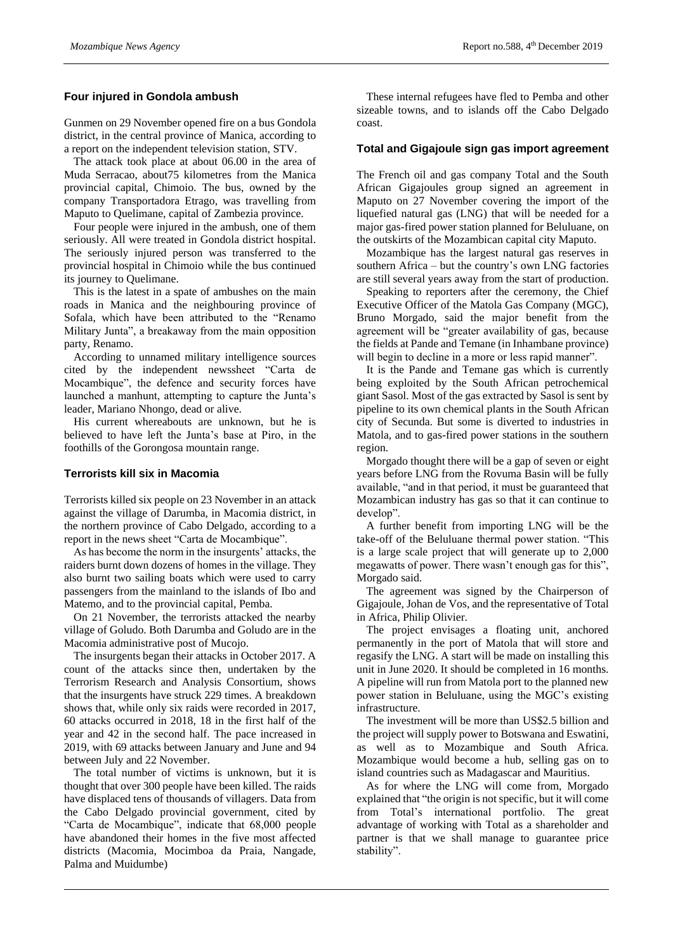#### **Four injured in Gondola ambush**

Gunmen on 29 November opened fire on a bus Gondola district, in the central province of Manica, according to a report on the independent television station, STV.

The attack took place at about 06.00 in the area of Muda Serracao, about75 kilometres from the Manica provincial capital, Chimoio. The bus, owned by the company Transportadora Etrago, was travelling from Maputo to Quelimane, capital of Zambezia province.

Four people were injured in the ambush, one of them seriously. All were treated in Gondola district hospital. The seriously injured person was transferred to the provincial hospital in Chimoio while the bus continued its journey to Quelimane.

This is the latest in a spate of ambushes on the main roads in Manica and the neighbouring province of Sofala, which have been attributed to the "Renamo Military Junta", a breakaway from the main opposition party, Renamo.

According to unnamed military intelligence sources cited by the independent newssheet "Carta de Mocambique", the defence and security forces have launched a manhunt, attempting to capture the Junta's leader, Mariano Nhongo, dead or alive.

His current whereabouts are unknown, but he is believed to have left the Junta's base at Piro, in the foothills of the Gorongosa mountain range.

#### **Terrorists kill six in Macomia**

Terrorists killed six people on 23 November in an attack against the village of Darumba, in Macomia district, in the northern province of Cabo Delgado, according to a report in the news sheet "Carta de Mocambique".

As has become the norm in the insurgents' attacks, the raiders burnt down dozens of homes in the village. They also burnt two sailing boats which were used to carry passengers from the mainland to the islands of Ibo and Matemo, and to the provincial capital, Pemba.

On 21 November, the terrorists attacked the nearby village of Goludo. Both Darumba and Goludo are in the Macomia administrative post of Mucojo.

The insurgents began their attacks in October 2017. A count of the attacks since then, undertaken by the Terrorism Research and Analysis Consortium, shows that the insurgents have struck 229 times. A breakdown shows that, while only six raids were recorded in 2017, 60 attacks occurred in 2018, 18 in the first half of the year and 42 in the second half. The pace increased in 2019, with 69 attacks between January and June and 94 between July and 22 November.

The total number of victims is unknown, but it is thought that over 300 people have been killed. The raids have displaced tens of thousands of villagers. Data from the Cabo Delgado provincial government, cited by "Carta de Mocambique", indicate that 68,000 people have abandoned their homes in the five most affected districts (Macomia, Mocimboa da Praia, Nangade, Palma and Muidumbe)

These internal refugees have fled to Pemba and other sizeable towns, and to islands off the Cabo Delgado coast.

#### **Total and Gigajoule sign gas import agreement**

The French oil and gas company Total and the South African Gigajoules group signed an agreement in Maputo on 27 November covering the import of the liquefied natural gas (LNG) that will be needed for a major gas-fired power station planned for Beluluane, on the outskirts of the Mozambican capital city Maputo.

Mozambique has the largest natural gas reserves in southern Africa – but the country's own LNG factories are still several years away from the start of production.

Speaking to reporters after the ceremony, the Chief Executive Officer of the Matola Gas Company (MGC), Bruno Morgado, said the major benefit from the agreement will be "greater availability of gas, because the fields at Pande and Temane (in Inhambane province) will begin to decline in a more or less rapid manner".

It is the Pande and Temane gas which is currently being exploited by the South African petrochemical giant Sasol. Most of the gas extracted by Sasol is sent by pipeline to its own chemical plants in the South African city of Secunda. But some is diverted to industries in Matola, and to gas-fired power stations in the southern region.

Morgado thought there will be a gap of seven or eight years before LNG from the Rovuma Basin will be fully available, "and in that period, it must be guaranteed that Mozambican industry has gas so that it can continue to develop".

A further benefit from importing LNG will be the take-off of the Beluluane thermal power station. "This is a large scale project that will generate up to 2,000 megawatts of power. There wasn't enough gas for this", Morgado said.

The agreement was signed by the Chairperson of Gigajoule, Johan de Vos, and the representative of Total in Africa, Philip Olivier.

The project envisages a floating unit, anchored permanently in the port of Matola that will store and regasify the LNG. A start will be made on installing this unit in June 2020. It should be completed in 16 months. A pipeline will run from Matola port to the planned new power station in Beluluane, using the MGC's existing infrastructure.

The investment will be more than US\$2.5 billion and the project will supply power to Botswana and Eswatini, as well as to Mozambique and South Africa. Mozambique would become a hub, selling gas on to island countries such as Madagascar and Mauritius.

As for where the LNG will come from, Morgado explained that "the origin is not specific, but it will come from Total's international portfolio. The great advantage of working with Total as a shareholder and partner is that we shall manage to guarantee price stability".